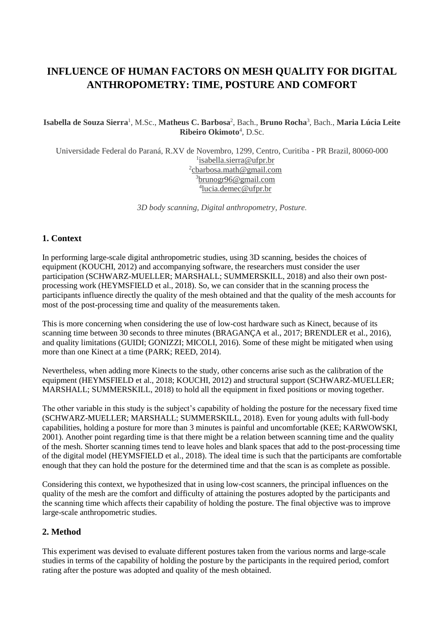# **INFLUENCE OF HUMAN FACTORS ON MESH QUALITY FOR DIGITAL ANTHROPOMETRY: TIME, POSTURE AND COMFORT**

#### **Isabella de Souza Sierra**<sup>1</sup> , M.Sc., **Matheus C. Barbosa**<sup>2</sup> , Bach., **Bruno Rocha**<sup>3</sup> , Bach., **Maria Lúcia Leite Ribeiro Okimoto**<sup>4</sup> , D.Sc.

Universidade Federal do Paraná, R.XV de Novembro, 1299, Centro, Curitiba - PR Brazil, 80060-000 <sup>1</sup>isabella.sierra@ufpr.br <sup>2</sup>cbarbosa.math@gmail.com <sup>3</sup>brunogr96@gmail.com 4 lucia.demec@ufpr.br

*3D body scanning, Digital anthropometry, Posture.*

## **1. Context**

In performing large-scale digital anthropometric studies, using 3D scanning, besides the choices of equipment (KOUCHI, 2012) and accompanying software, the researchers must consider the user participation (SCHWARZ-MUELLER; MARSHALL; SUMMERSKILL, 2018) and also their own postprocessing work (HEYMSFIELD et al., 2018). So, we can consider that in the scanning process the participants influence directly the quality of the mesh obtained and that the quality of the mesh accounts for most of the post-processing time and quality of the measurements taken.

This is more concerning when considering the use of low-cost hardware such as Kinect, because of its scanning time between 30 seconds to three minutes (BRAGANÇA et al., 2017; BRENDLER et al., 2016), and quality limitations (GUIDI; GONIZZI; MICOLI, 2016). Some of these might be mitigated when using more than one Kinect at a time (PARK; REED, 2014).

Nevertheless, when adding more Kinects to the study, other concerns arise such as the calibration of the equipment (HEYMSFIELD et al., 2018; KOUCHI, 2012) and structural support (SCHWARZ-MUELLER; MARSHALL; SUMMERSKILL, 2018) to hold all the equipment in fixed positions or moving together.

The other variable in this study is the subject's capability of holding the posture for the necessary fixed time (SCHWARZ-MUELLER; MARSHALL; SUMMERSKILL, 2018). Even for young adults with full-body capabilities, holding a posture for more than 3 minutes is painful and uncomfortable (KEE; KARWOWSKI, 2001). Another point regarding time is that there might be a relation between scanning time and the quality of the mesh. Shorter scanning times tend to leave holes and blank spaces that add to the post-processing time of the digital model (HEYMSFIELD et al., 2018). The ideal time is such that the participants are comfortable enough that they can hold the posture for the determined time and that the scan is as complete as possible.

Considering this context, we hypothesized that in using low-cost scanners, the principal influences on the quality of the mesh are the comfort and difficulty of attaining the postures adopted by the participants and the scanning time which affects their capability of holding the posture. The final objective was to improve large-scale anthropometric studies.

#### **2. Method**

This experiment was devised to evaluate different postures taken from the various norms and large-scale studies in terms of the capability of holding the posture by the participants in the required period, comfort rating after the posture was adopted and quality of the mesh obtained.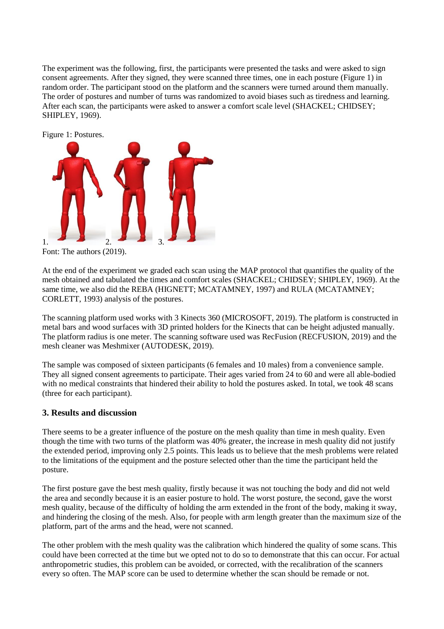The experiment was the following, first, the participants were presented the tasks and were asked to sign consent agreements. After they signed, they were scanned three times, one in each posture (Figure 1) in random order. The participant stood on the platform and the scanners were turned around them manually. The order of postures and number of turns was randomized to avoid biases such as tiredness and learning. After each scan, the participants were asked to answer a comfort scale level (SHACKEL; CHIDSEY; SHIPLEY, 1969).



Font: The authors (2019).

At the end of the experiment we graded each scan using the MAP protocol that quantifies the quality of the mesh obtained and tabulated the times and comfort scales (SHACKEL; CHIDSEY; SHIPLEY, 1969). At the same time, we also did the REBA (HIGNETT; MCATAMNEY, 1997) and RULA (MCATAMNEY; CORLETT, 1993) analysis of the postures.

The scanning platform used works with 3 Kinects 360 (MICROSOFT, 2019). The platform is constructed in metal bars and wood surfaces with 3D printed holders for the Kinects that can be height adjusted manually. The platform radius is one meter. The scanning software used was RecFusion (RECFUSION, 2019) and the mesh cleaner was Meshmixer (AUTODESK, 2019).

The sample was composed of sixteen participants (6 females and 10 males) from a convenience sample. They all signed consent agreements to participate. Their ages varied from 24 to 60 and were all able-bodied with no medical constraints that hindered their ability to hold the postures asked. In total, we took 48 scans (three for each participant).

#### **3. Results and discussion**

There seems to be a greater influence of the posture on the mesh quality than time in mesh quality. Even though the time with two turns of the platform was 40% greater, the increase in mesh quality did not justify the extended period, improving only 2.5 points. This leads us to believe that the mesh problems were related to the limitations of the equipment and the posture selected other than the time the participant held the posture.

The first posture gave the best mesh quality, firstly because it was not touching the body and did not weld the area and secondly because it is an easier posture to hold. The worst posture, the second, gave the worst mesh quality, because of the difficulty of holding the arm extended in the front of the body, making it sway, and hindering the closing of the mesh. Also, for people with arm length greater than the maximum size of the platform, part of the arms and the head, were not scanned.

The other problem with the mesh quality was the calibration which hindered the quality of some scans. This could have been corrected at the time but we opted not to do so to demonstrate that this can occur. For actual anthropometric studies, this problem can be avoided, or corrected, with the recalibration of the scanners every so often. The MAP score can be used to determine whether the scan should be remade or not.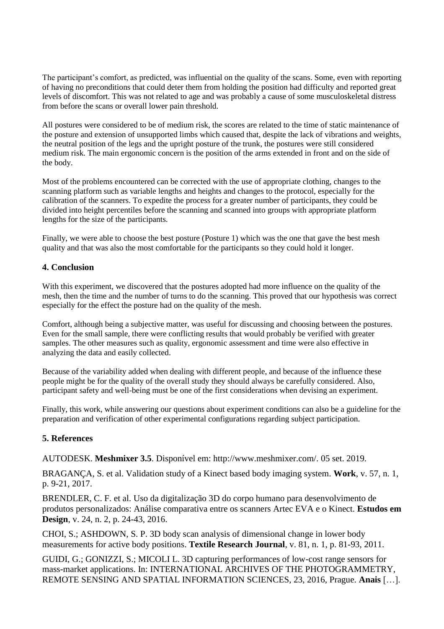The participant's comfort, as predicted, was influential on the quality of the scans. Some, even with reporting of having no preconditions that could deter them from holding the position had difficulty and reported great levels of discomfort. This was not related to age and was probably a cause of some musculoskeletal distress from before the scans or overall lower pain threshold.

All postures were considered to be of medium risk, the scores are related to the time of static maintenance of the posture and extension of unsupported limbs which caused that, despite the lack of vibrations and weights, the neutral position of the legs and the upright posture of the trunk, the postures were still considered medium risk. The main ergonomic concern is the position of the arms extended in front and on the side of the body.

Most of the problems encountered can be corrected with the use of appropriate clothing, changes to the scanning platform such as variable lengths and heights and changes to the protocol, especially for the calibration of the scanners. To expedite the process for a greater number of participants, they could be divided into height percentiles before the scanning and scanned into groups with appropriate platform lengths for the size of the participants.

Finally, we were able to choose the best posture (Posture 1) which was the one that gave the best mesh quality and that was also the most comfortable for the participants so they could hold it longer.

### **4. Conclusion**

With this experiment, we discovered that the postures adopted had more influence on the quality of the mesh, then the time and the number of turns to do the scanning. This proved that our hypothesis was correct especially for the effect the posture had on the quality of the mesh.

Comfort, although being a subjective matter, was useful for discussing and choosing between the postures. Even for the small sample, there were conflicting results that would probably be verified with greater samples. The other measures such as quality, ergonomic assessment and time were also effective in analyzing the data and easily collected.

Because of the variability added when dealing with different people, and because of the influence these people might be for the quality of the overall study they should always be carefully considered. Also, participant safety and well-being must be one of the first considerations when devising an experiment.

Finally, this work, while answering our questions about experiment conditions can also be a guideline for the preparation and verification of other experimental configurations regarding subject participation.

## **5. References**

AUTODESK. **Meshmixer 3.5**. Disponível em: http://www.meshmixer.com/. 05 set. 2019.

BRAGANÇA, S. et al. Validation study of a Kinect based body imaging system. **Work**, v. 57, n. 1, p. 9-21, 2017.

BRENDLER, C. F. et al. Uso da digitalização 3D do corpo humano para desenvolvimento de produtos personalizados: Análise comparativa entre os scanners Artec EVA e o Kinect. **Estudos em Design**, v. 24, n. 2, p. 24-43, 2016.

CHOI, S.; ASHDOWN, S. P. 3D body scan analysis of dimensional change in lower body measurements for active body positions. **Textile Research Journal**, v. 81, n. 1, p. 81-93, 2011.

GUIDI, G.; GONIZZI, S.; MICOLI L. 3D capturing performances of low-cost range sensors for mass-market applications. In: INTERNATIONAL ARCHIVES OF THE PHOTOGRAMMETRY, REMOTE SENSING AND SPATIAL INFORMATION SCIENCES, 23, 2016, Prague. **Anais** […].